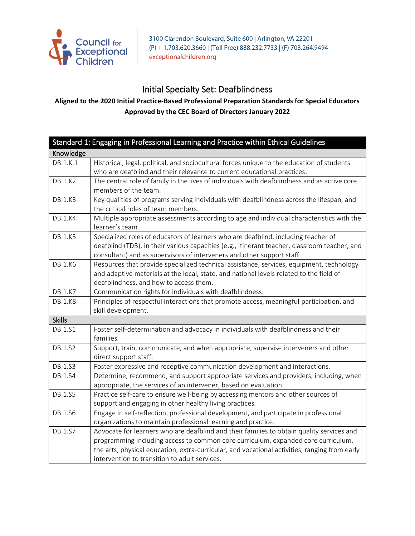

3100 Clarendon Boulevard, Suite 600 | Arlington, VA 22201 (P) + 1.703.620.3660 | (Toll Free) 888.232.7733 | (F) 703.264.9494 exceptionalchildren.org

## Initial Specialty Set: Deafblindness

## **Aligned to the 2020 Initial Practice-Based Professional Preparation Standards for Special Educators Approved by the CEC Board of Directors January 2022**

|                | Standard 1: Engaging in Professional Learning and Practice within Ethical Guidelines                                                           |
|----------------|------------------------------------------------------------------------------------------------------------------------------------------------|
| Knowledge      |                                                                                                                                                |
| DB.1.K.1       | Historical, legal, political, and sociocultural forces unique to the education of students                                                     |
|                | who are deafblind and their relevance to current educational practices.                                                                        |
| <b>DB.1.K2</b> | The central role of family in the lives of individuals with deafblindness and as active core                                                   |
|                | members of the team.                                                                                                                           |
| DB.1.K3        | Key qualities of programs serving individuals with deafblindness across the lifespan, and                                                      |
|                | the critical roles of team members.                                                                                                            |
| <b>DB.1.K4</b> | Multiple appropriate assessments according to age and individual characteristics with the                                                      |
|                | learner's team.                                                                                                                                |
| <b>DB.1.K5</b> | Specialized roles of educators of learners who are deafblind, including teacher of                                                             |
|                | deafblind (TDB), in their various capacities (e.g., itinerant teacher, classroom teacher, and                                                  |
|                | consultant) and as supervisors of interveners and other support staff.                                                                         |
| <b>DB.1.K6</b> | Resources that provide specialized technical assistance, services, equipment, technology                                                       |
|                | and adaptive materials at the local, state, and national levels related to the field of                                                        |
|                | deafblindness, and how to access them.                                                                                                         |
| DB.1.K7        | Communication rights for individuals with deafblindness.                                                                                       |
| <b>DB.1.K8</b> | Principles of respectful interactions that promote access, meaningful participation, and                                                       |
|                | skill development.                                                                                                                             |
| <b>Skills</b>  |                                                                                                                                                |
| DB.1.S1        |                                                                                                                                                |
|                | Foster self-determination and advocacy in individuals with deafblindness and their                                                             |
|                | families.                                                                                                                                      |
| DB.1.S2        | Support, train, communicate, and when appropriate, supervise interveners and other                                                             |
|                | direct support staff.                                                                                                                          |
| DB.1.S3        | Foster expressive and receptive communication development and interactions.                                                                    |
| DB.1.S4        | Determine, recommend, and support appropriate services and providers, including, when                                                          |
|                | appropriate, the services of an intervener, based on evaluation.                                                                               |
| DB.1.S5        | Practice self-care to ensure well-being by accessing mentors and other sources of                                                              |
|                | support and engaging in other healthy living practices.                                                                                        |
| DB.1.S6        | Engage in self-reflection, professional development, and participate in professional                                                           |
|                | organizations to maintain professional learning and practice.                                                                                  |
| DB.1.S7        | Advocate for learners who are deafblind and their families to obtain quality services and                                                      |
|                | programming including access to common core curriculum, expanded core curriculum,                                                              |
|                | the arts, physical education, extra-curricular, and vocational activities, ranging from early<br>intervention to transition to adult services. |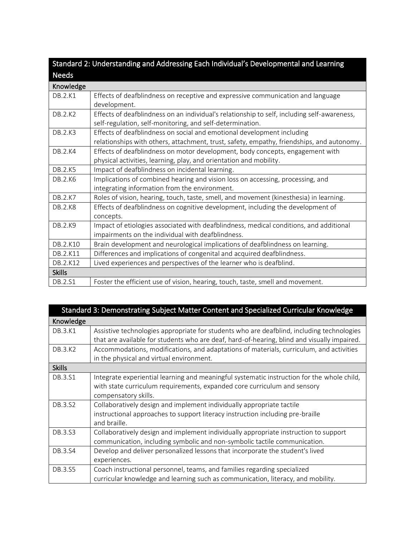| Standard 2: Understanding and Addressing Each Individual's Developmental and Learning |                                                                                                                                                                     |
|---------------------------------------------------------------------------------------|---------------------------------------------------------------------------------------------------------------------------------------------------------------------|
| <b>Needs</b>                                                                          |                                                                                                                                                                     |
| Knowledge                                                                             |                                                                                                                                                                     |
| DB.2.K1                                                                               | Effects of deafblindness on receptive and expressive communication and language<br>development.                                                                     |
| DB.2.K2                                                                               | Effects of deafblindness on an individual's relationship to self, including self-awareness,<br>self-regulation, self-monitoring, and self-determination.            |
| DB.2.K3                                                                               | Effects of deafblindness on social and emotional development including<br>relationships with others, attachment, trust, safety, empathy, friendships, and autonomy. |
| DB.2.K4                                                                               | Effects of deafblindness on motor development, body concepts, engagement with<br>physical activities, learning, play, and orientation and mobility.                 |
| DB.2.K5                                                                               | Impact of deafblindness on incidental learning.                                                                                                                     |
| DB.2.K6                                                                               | Implications of combined hearing and vision loss on accessing, processing, and<br>integrating information from the environment.                                     |
| DB.2.K7                                                                               | Roles of vision, hearing, touch, taste, smell, and movement (kinesthesia) in learning.                                                                              |
| <b>DB.2.K8</b>                                                                        | Effects of deafblindness on cognitive development, including the development of<br>concepts.                                                                        |
| DB.2.K9                                                                               | Impact of etiologies associated with deafblindness, medical conditions, and additional<br>impairments on the individual with deafblindness.                         |
| DB.2.K10                                                                              | Brain development and neurological implications of deafblindness on learning.                                                                                       |
| DB.2.K11                                                                              | Differences and implications of congenital and acquired deafblindness.                                                                                              |
| DB.2.K12                                                                              | Lived experiences and perspectives of the learner who is deafblind.                                                                                                 |
| <b>Skills</b>                                                                         |                                                                                                                                                                     |
| DB.2.S1                                                                               | Foster the efficient use of vision, hearing, touch, taste, smell and movement.                                                                                      |

| Standard 3: Demonstrating Subject Matter Content and Specialized Curricular Knowledge |                                                                                             |
|---------------------------------------------------------------------------------------|---------------------------------------------------------------------------------------------|
| Knowledge                                                                             |                                                                                             |
| DB.3.K1                                                                               | Assistive technologies appropriate for students who are deafblind, including technologies   |
|                                                                                       | that are available for students who are deaf, hard-of-hearing, blind and visually impaired. |
| DB.3.K2                                                                               | Accommodations, modifications, and adaptations of materials, curriculum, and activities     |
|                                                                                       | in the physical and virtual environment.                                                    |
| <b>Skills</b>                                                                         |                                                                                             |
| DB.3.S1                                                                               | Integrate experiential learning and meaningful systematic instruction for the whole child,  |
|                                                                                       | with state curriculum requirements, expanded core curriculum and sensory                    |
|                                                                                       | compensatory skills.                                                                        |
| DB.3.S2                                                                               | Collaboratively design and implement individually appropriate tactile                       |
|                                                                                       | instructional approaches to support literacy instruction including pre-braille              |
|                                                                                       | and braille.                                                                                |
| DB.3.S3                                                                               | Collaboratively design and implement individually appropriate instruction to support        |
|                                                                                       | communication, including symbolic and non-symbolic tactile communication.                   |
| DB.3.S4                                                                               | Develop and deliver personalized lessons that incorporate the student's lived               |
|                                                                                       | experiences.                                                                                |
| DB.3.S5                                                                               | Coach instructional personnel, teams, and families regarding specialized                    |
|                                                                                       | curricular knowledge and learning such as communication, literacy, and mobility.            |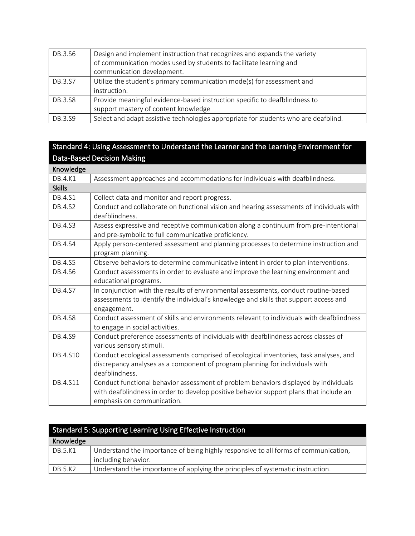| DB.3.S6 | Design and implement instruction that recognizes and expands the variety<br>of communication modes used by students to facilitate learning and<br>communication development. |
|---------|------------------------------------------------------------------------------------------------------------------------------------------------------------------------------|
| DB.3.S7 | Utilize the student's primary communication mode(s) for assessment and<br>instruction.                                                                                       |
| DB.3.S8 | Provide meaningful evidence-based instruction specific to deafblindness to<br>support mastery of content knowledge                                                           |
| DB.3.S9 | Select and adapt assistive technologies appropriate for students who are deafblind.                                                                                          |

## Standard 4: Using Assessment to Understand the Learner and the Learning Environment for Data-Based Decision Making

| Knowledge     |                                                                                                                                                                                                              |
|---------------|--------------------------------------------------------------------------------------------------------------------------------------------------------------------------------------------------------------|
| DB.4.K1       | Assessment approaches and accommodations for individuals with deafblindness.                                                                                                                                 |
| <b>Skills</b> |                                                                                                                                                                                                              |
| DB.4.S1       | Collect data and monitor and report progress.                                                                                                                                                                |
| DB.4.S2       | Conduct and collaborate on functional vision and hearing assessments of individuals with<br>deafblindness.                                                                                                   |
| DB.4.S3       | Assess expressive and receptive communication along a continuum from pre-intentional<br>and pre-symbolic to full communicative proficiency.                                                                  |
| DB.4.S4       | Apply person-centered assessment and planning processes to determine instruction and<br>program planning.                                                                                                    |
| DB.4.S5       | Observe behaviors to determine communicative intent in order to plan interventions.                                                                                                                          |
| DB.4.S6       | Conduct assessments in order to evaluate and improve the learning environment and<br>educational programs.                                                                                                   |
| DB.4.S7       | In conjunction with the results of environmental assessments, conduct routine-based<br>assessments to identify the individual's knowledge and skills that support access and<br>engagement.                  |
| DB.4.S8       | Conduct assessment of skills and environments relevant to individuals with deafblindness<br>to engage in social activities.                                                                                  |
| DB.4.S9       | Conduct preference assessments of individuals with deafblindness across classes of<br>various sensory stimuli.                                                                                               |
| DB.4.S10      | Conduct ecological assessments comprised of ecological inventories, task analyses, and<br>discrepancy analyses as a component of program planning for individuals with<br>deafblindness.                     |
| DB.4.S11      | Conduct functional behavior assessment of problem behaviors displayed by individuals<br>with deafblindness in order to develop positive behavior support plans that include an<br>emphasis on communication. |

| Standard 5: Supporting Learning Using Effective Instruction |                                                                                                            |
|-------------------------------------------------------------|------------------------------------------------------------------------------------------------------------|
| Knowledge                                                   |                                                                                                            |
| DB.5.K1                                                     | Understand the importance of being highly responsive to all forms of communication,<br>including behavior. |
| DB.5.K2                                                     | Understand the importance of applying the principles of systematic instruction.                            |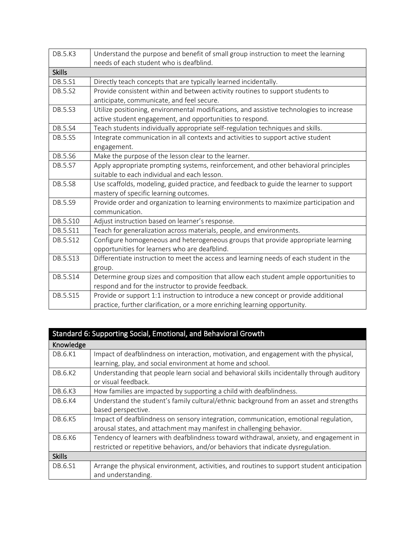| <b>DB.5.K3</b> | Understand the purpose and benefit of small group instruction to meet the learning<br>needs of each student who is deafblind. |
|----------------|-------------------------------------------------------------------------------------------------------------------------------|
| <b>Skills</b>  |                                                                                                                               |
| DB.5.S1        | Directly teach concepts that are typically learned incidentally.                                                              |
| DB.5.S2        | Provide consistent within and between activity routines to support students to                                                |
|                | anticipate, communicate, and feel secure.                                                                                     |
| DB.5.S3        | Utilize positioning, environmental modifications, and assistive technologies to increase                                      |
|                | active student engagement, and opportunities to respond.                                                                      |
| DB.5.S4        | Teach students individually appropriate self-regulation techniques and skills.                                                |
| DB.5.S5        | Integrate communication in all contexts and activities to support active student                                              |
|                | engagement.                                                                                                                   |
| DB.5.S6        | Make the purpose of the lesson clear to the learner.                                                                          |
| DB.5.S7        | Apply appropriate prompting systems, reinforcement, and other behavioral principles                                           |
|                | suitable to each individual and each lesson.                                                                                  |
| DB.5.S8        | Use scaffolds, modeling, guided practice, and feedback to guide the learner to support                                        |
|                | mastery of specific learning outcomes.                                                                                        |
| DB.5.S9        | Provide order and organization to learning environments to maximize participation and                                         |
|                | communication.                                                                                                                |
| DB.5.S10       | Adjust instruction based on learner's response.                                                                               |
| DB.5.S11       | Teach for generalization across materials, people, and environments.                                                          |
| DB.5.S12       | Configure homogeneous and heterogeneous groups that provide appropriate learning                                              |
|                | opportunities for learners who are deafblind.                                                                                 |
| DB.5.S13       | Differentiate instruction to meet the access and learning needs of each student in the                                        |
|                | group.                                                                                                                        |
| DB.5.S14       | Determine group sizes and composition that allow each student ample opportunities to                                          |
|                | respond and for the instructor to provide feedback.                                                                           |
| DB.5.S15       | Provide or support 1:1 instruction to introduce a new concept or provide additional                                           |
|                | practice, further clarification, or a more enriching learning opportunity.                                                    |

| Standard 6: Supporting Social, Emotional, and Behavioral Growth |                                                                                            |
|-----------------------------------------------------------------|--------------------------------------------------------------------------------------------|
| Knowledge                                                       |                                                                                            |
| DB.6.K1                                                         | Impact of deafblindness on interaction, motivation, and engagement with the physical,      |
|                                                                 | learning, play, and social environment at home and school.                                 |
| DB.6.K2                                                         | Understanding that people learn social and behavioral skills incidentally through auditory |
|                                                                 | or visual feedback.                                                                        |
| DB.6.K3                                                         | How families are impacted by supporting a child with deafblindness.                        |
| DB.6.K4                                                         | Understand the student's family cultural/ethnic background from an asset and strengths     |
|                                                                 | based perspective.                                                                         |
| DB.6.K5                                                         | Impact of deafblindness on sensory integration, communication, emotional regulation,       |
|                                                                 | arousal states, and attachment may manifest in challenging behavior.                       |
| DB.6.K6                                                         | Tendency of learners with deafblindness toward withdrawal, anxiety, and engagement in      |
|                                                                 | restricted or repetitive behaviors, and/or behaviors that indicate dysregulation.          |
| <b>Skills</b>                                                   |                                                                                            |
| DB.6.S1                                                         | Arrange the physical environment, activities, and routines to support student anticipation |
|                                                                 | and understanding.                                                                         |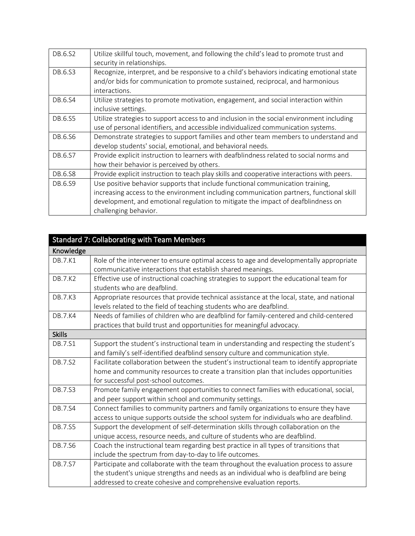| DB.6.S2 | Utilize skillful touch, movement, and following the child's lead to promote trust and<br>security in relationships.                                                                                                                                                                    |
|---------|----------------------------------------------------------------------------------------------------------------------------------------------------------------------------------------------------------------------------------------------------------------------------------------|
| DB.6.S3 | Recognize, interpret, and be responsive to a child's behaviors indicating emotional state<br>and/or bids for communication to promote sustained, reciprocal, and harmonious<br>interactions.                                                                                           |
| DB.6.S4 | Utilize strategies to promote motivation, engagement, and social interaction within<br>inclusive settings.                                                                                                                                                                             |
| DB.6.S5 | Utilize strategies to support access to and inclusion in the social environment including<br>use of personal identifiers, and accessible individualized communication systems.                                                                                                         |
| DB.6.S6 | Demonstrate strategies to support families and other team members to understand and<br>develop students' social, emotional, and behavioral needs.                                                                                                                                      |
| DB.6.S7 | Provide explicit instruction to learners with deafblindness related to social norms and<br>how their behavior is perceived by others.                                                                                                                                                  |
| DB.6.S8 | Provide explicit instruction to teach play skills and cooperative interactions with peers.                                                                                                                                                                                             |
| DB.6.S9 | Use positive behavior supports that include functional communication training,<br>increasing access to the environment including communication partners, functional skill<br>development, and emotional regulation to mitigate the impact of deafblindness on<br>challenging behavior. |

| Standard 7: Collaborating with Team Members |                                                                                           |
|---------------------------------------------|-------------------------------------------------------------------------------------------|
| Knowledge                                   |                                                                                           |
| DB.7.K1                                     | Role of the intervener to ensure optimal access to age and developmentally appropriate    |
|                                             | communicative interactions that establish shared meanings.                                |
| <b>DB.7.K2</b>                              | Effective use of instructional coaching strategies to support the educational team for    |
|                                             | students who are deafblind.                                                               |
| <b>DB.7.K3</b>                              | Appropriate resources that provide technical assistance at the local, state, and national |
|                                             | levels related to the field of teaching students who are deafblind.                       |
| <b>DB.7.K4</b>                              | Needs of families of children who are deafblind for family-centered and child-centered    |
|                                             | practices that build trust and opportunities for meaningful advocacy.                     |
| <b>Skills</b>                               |                                                                                           |
| DB.7.S1                                     | Support the student's instructional team in understanding and respecting the student's    |
|                                             | and family's self-identified deafblind sensory culture and communication style.           |
| DB.7.S2                                     | Facilitate collaboration between the student's instructional team to identify appropriate |
|                                             | home and community resources to create a transition plan that includes opportunities      |
|                                             | for successful post-school outcomes.                                                      |
| DB.7.S3                                     | Promote family engagement opportunities to connect families with educational, social,     |
|                                             | and peer support within school and community settings.                                    |
| DB.7.S4                                     | Connect families to community partners and family organizations to ensure they have       |
|                                             | access to unique supports outside the school system for individuals who are deafblind.    |
| DB.7.S5                                     | Support the development of self-determination skills through collaboration on the         |
|                                             | unique access, resource needs, and culture of students who are deafblind.                 |
| DB.7.S6                                     | Coach the instructional team regarding best practice in all types of transitions that     |
|                                             | include the spectrum from day-to-day to life outcomes.                                    |
| DB.7.S7                                     | Participate and collaborate with the team throughout the evaluation process to assure     |
|                                             | the student's unique strengths and needs as an individual who is deafblind are being      |
|                                             | addressed to create cohesive and comprehensive evaluation reports.                        |